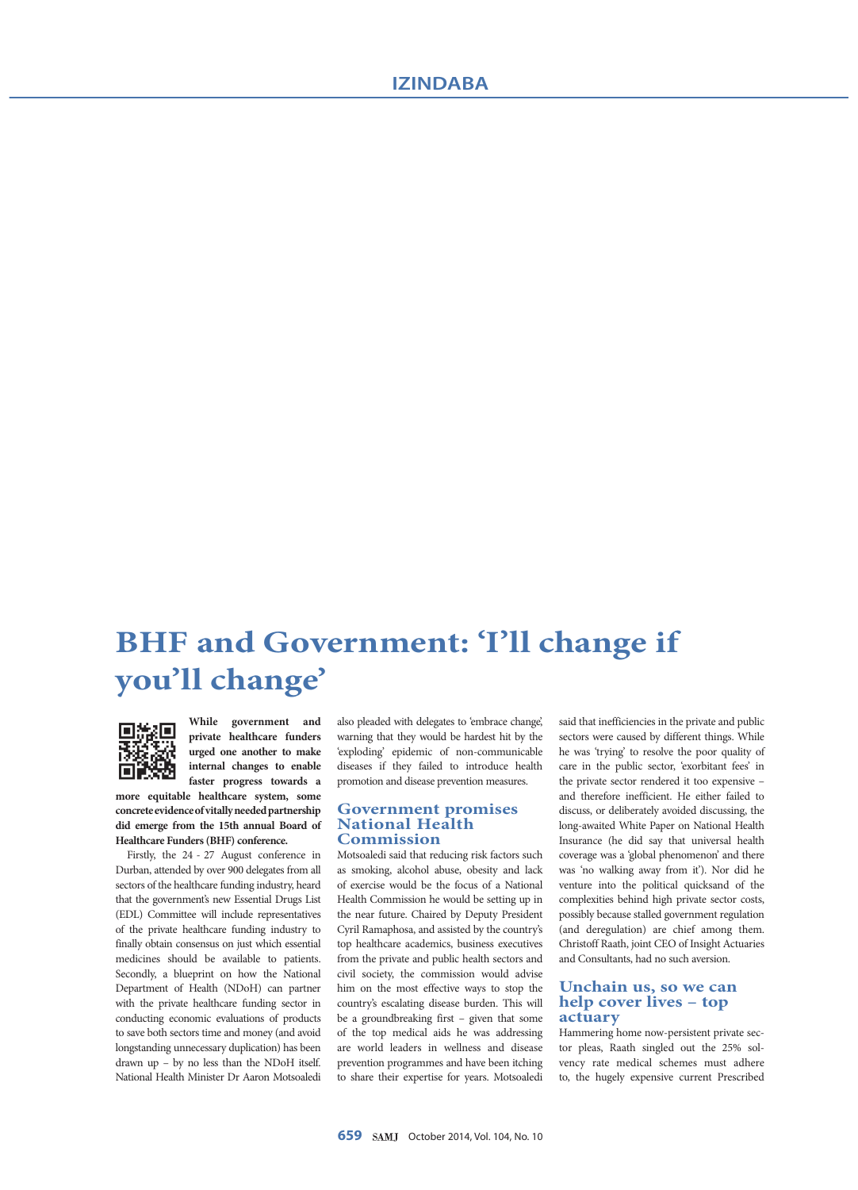# **BHF and Government: 'I'll change if you'll change'**



**While government and private healthcare funders urged one another to make internal changes to enable faster progress towards a** 

**more equitable healthcare system, some concrete evidence of vitally needed partnership did emerge from the 15th annual Board of Healthcare Funders (BHF) conference.**

Firstly, the 24 - 27 August conference in Durban, attended by over 900 delegates from all sectors of the healthcare funding industry, heard that the government's new Essential Drugs List (EDL) Committee will include representatives of the private healthcare funding industry to finally obtain consensus on just which essential medicines should be available to patients. Secondly, a blueprint on how the National Department of Health (NDoH) can partner with the private healthcare funding sector in conducting economic evaluations of products to save both sectors time and money (and avoid longstanding unnecessary duplication) has been drawn up – by no less than the NDoH itself. National Health Minister Dr Aaron Motsoaledi

also pleaded with delegates to 'embrace change', warning that they would be hardest hit by the 'exploding' epidemic of non-communicable diseases if they failed to introduce health promotion and disease prevention measures.

#### **Government promises National Health Commission**

Motsoaledi said that reducing risk factors such as smoking, alcohol abuse, obesity and lack of exercise would be the focus of a National Health Commission he would be setting up in the near future. Chaired by Deputy President Cyril Ramaphosa, and assisted by the country's top healthcare academics, business executives from the private and public health sectors and civil society, the commission would advise him on the most effective ways to stop the country's escalating disease burden. This will be a groundbreaking first – given that some of the top medical aids he was addressing are world leaders in wellness and disease prevention programmes and have been itching to share their expertise for years. Motsoaledi

said that inefficiencies in the private and public sectors were caused by different things. While he was 'trying' to resolve the poor quality of care in the public sector, 'exorbitant fees' in the private sector rendered it too expensive – and therefore inefficient. He either failed to discuss, or deliberately avoided discussing, the long-awaited White Paper on National Health Insurance (he did say that universal health coverage was a 'global phenomenon' and there was 'no walking away from it'). Nor did he venture into the political quicksand of the complexities behind high private sector costs, possibly because stalled government regulation (and deregulation) are chief among them. Christoff Raath, joint CEO of Insight Actuaries and Consultants, had no such aversion.

### **Unchain us, so we can help cover lives – top actuary**

Hammering home now-persistent private sector pleas, Raath singled out the 25% solvency rate medical schemes must adhere to, the hugely expensive current Prescribed